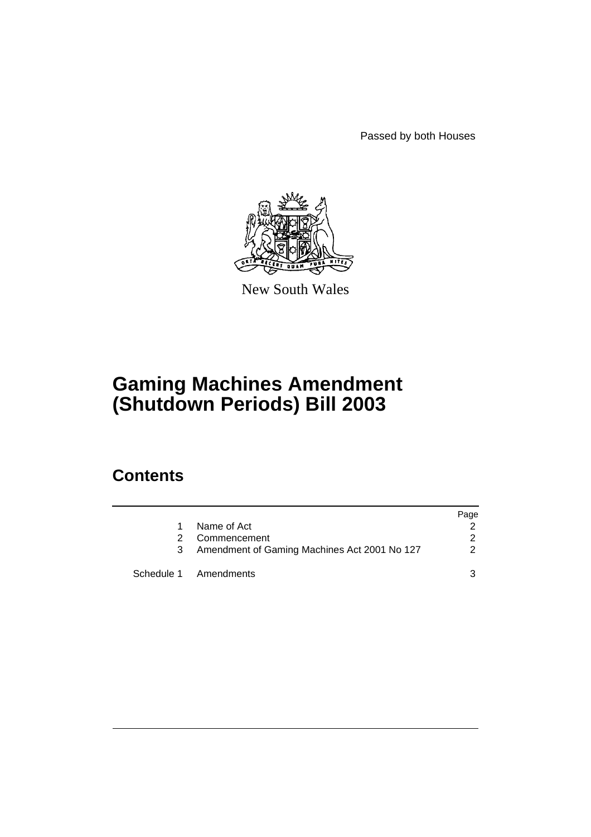Passed by both Houses



New South Wales

# **Gaming Machines Amendment (Shutdown Periods) Bill 2003**

## **Contents**

|   |                                              | Page |
|---|----------------------------------------------|------|
|   | Name of Act                                  |      |
|   | Commencement                                 | 2    |
| 3 | Amendment of Gaming Machines Act 2001 No 127 | 2    |
|   | Schedule 1 Amendments                        | ર    |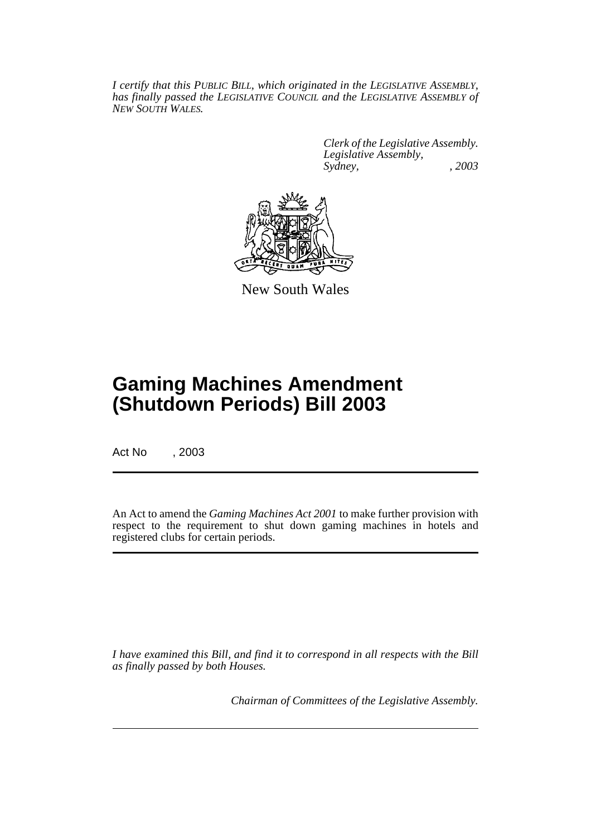*I certify that this PUBLIC BILL, which originated in the LEGISLATIVE ASSEMBLY, has finally passed the LEGISLATIVE COUNCIL and the LEGISLATIVE ASSEMBLY of NEW SOUTH WALES.*

> *Clerk of the Legislative Assembly. Legislative Assembly, Sydney, , 2003*



New South Wales

## **Gaming Machines Amendment (Shutdown Periods) Bill 2003**

Act No , 2003

An Act to amend the *Gaming Machines Act 2001* to make further provision with respect to the requirement to shut down gaming machines in hotels and registered clubs for certain periods.

*I have examined this Bill, and find it to correspond in all respects with the Bill as finally passed by both Houses.*

*Chairman of Committees of the Legislative Assembly.*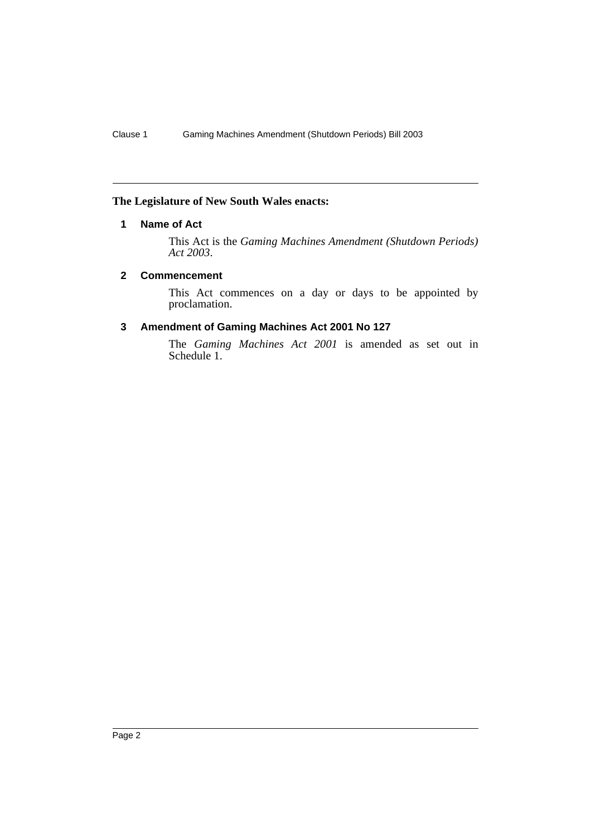#### <span id="page-2-0"></span>**The Legislature of New South Wales enacts:**

#### **1 Name of Act**

This Act is the *Gaming Machines Amendment (Shutdown Periods) Act 2003*.

#### <span id="page-2-1"></span>**2 Commencement**

This Act commences on a day or days to be appointed by proclamation.

#### <span id="page-2-2"></span>**3 Amendment of Gaming Machines Act 2001 No 127**

The *Gaming Machines Act 2001* is amended as set out in Schedule 1.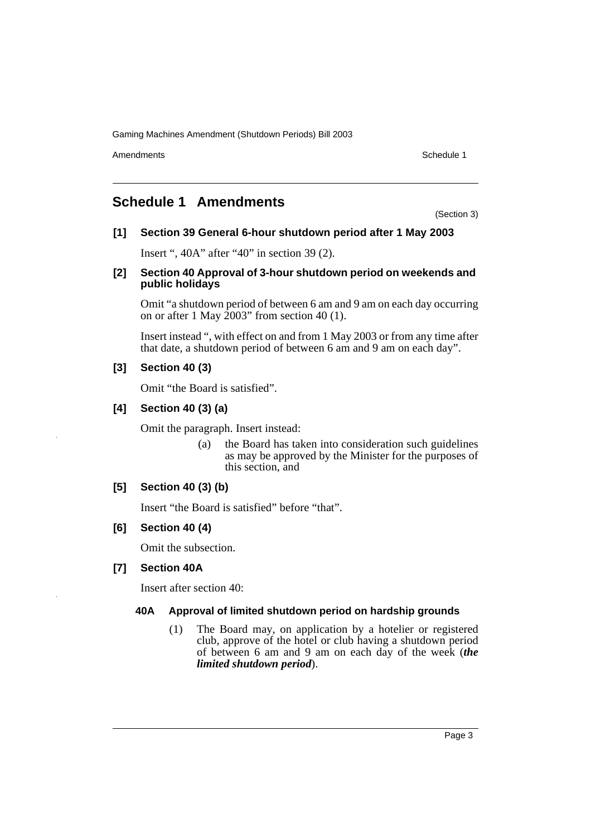Gaming Machines Amendment (Shutdown Periods) Bill 2003

Amendments **Schedule 1** and the set of the set of the set of the set of the set of the set of the set of the set of the set of the set of the set of the set of the set of the set of the set of the set of the set of the set

## <span id="page-3-0"></span>**Schedule 1 Amendments**

(Section 3)

## **[1] Section 39 General 6-hour shutdown period after 1 May 2003**

Insert ", 40A" after "40" in section 39 (2).

### **[2] Section 40 Approval of 3-hour shutdown period on weekends and public holidays**

Omit "a shutdown period of between 6 am and 9 am on each day occurring on or after 1 May  $2003$ " from section 40 (1).

Insert instead ", with effect on and from 1 May 2003 or from any time after that date, a shutdown period of between 6 am and 9 am on each day".

## **[3] Section 40 (3)**

Omit "the Board is satisfied".

## **[4] Section 40 (3) (a)**

Omit the paragraph. Insert instead:

(a) the Board has taken into consideration such guidelines as may be approved by the Minister for the purposes of this section, and

## **[5] Section 40 (3) (b)**

Insert "the Board is satisfied" before "that".

## **[6] Section 40 (4)**

Omit the subsection.

## **[7] Section 40A**

Insert after section 40:

### **40A Approval of limited shutdown period on hardship grounds**

(1) The Board may, on application by a hotelier or registered club, approve of the hotel or club having a shutdown period of between 6 am and 9 am on each day of the week (*the limited shutdown period*).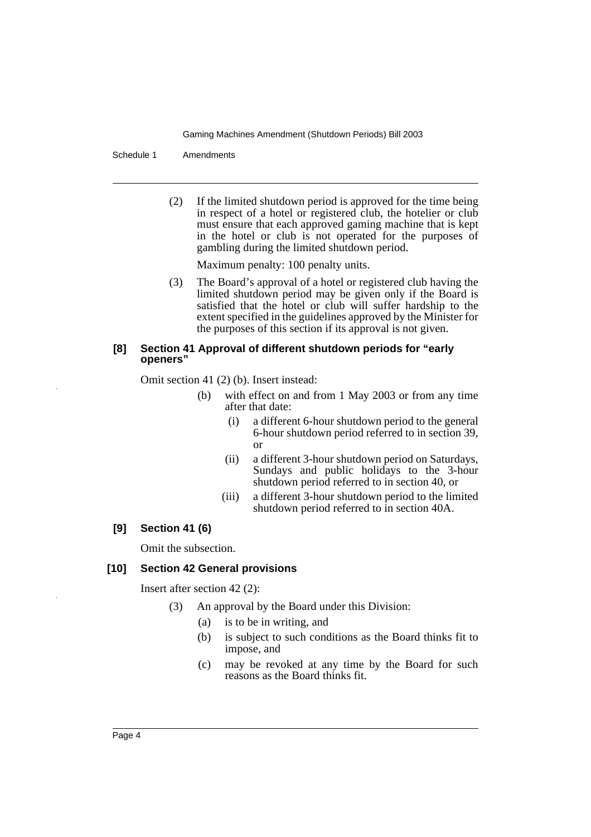Gaming Machines Amendment (Shutdown Periods) Bill 2003

Schedule 1 Amendments

(2) If the limited shutdown period is approved for the time being in respect of a hotel or registered club, the hotelier or club must ensure that each approved gaming machine that is kept in the hotel or club is not operated for the purposes of gambling during the limited shutdown period.

Maximum penalty: 100 penalty units.

(3) The Board's approval of a hotel or registered club having the limited shutdown period may be given only if the Board is satisfied that the hotel or club will suffer hardship to the extent specified in the guidelines approved by the Minister for the purposes of this section if its approval is not given.

#### **[8] Section 41 Approval of different shutdown periods for "early openers"**

Omit section 41 (2) (b). Insert instead:

- (b) with effect on and from 1 May 2003 or from any time after that date:
	- (i) a different 6-hour shutdown period to the general 6-hour shutdown period referred to in section 39, or
	- (ii) a different 3-hour shutdown period on Saturdays, Sundays and public holidays to the 3-hour shutdown period referred to in section 40, or
	- (iii) a different 3-hour shutdown period to the limited shutdown period referred to in section 40A.

### **[9] Section 41 (6)**

Omit the subsection.

#### **[10] Section 42 General provisions**

Insert after section 42 (2):

- (3) An approval by the Board under this Division:
	- (a) is to be in writing, and
	- (b) is subject to such conditions as the Board thinks fit to impose, and
	- (c) may be revoked at any time by the Board for such reasons as the Board thinks fit.